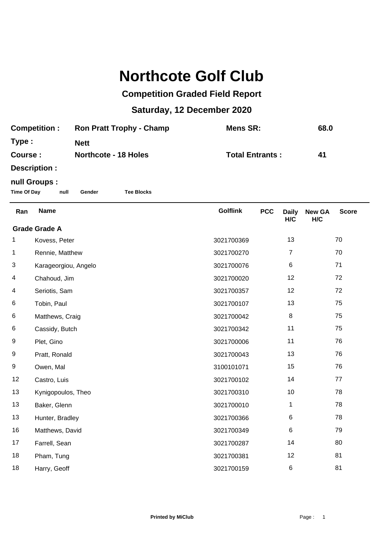## **Northcote Golf Club**

## **Competition Graded Field Report**

## **Saturday, 12 December 2020**

| <b>Competition:</b> | <b>Ron Pratt Trophy - Champ</b> | Mens SR:               | 68.0 |
|---------------------|---------------------------------|------------------------|------|
| Type:               | <b>Nett</b>                     |                        |      |
| Course :            | <b>Northcote - 18 Holes</b>     | <b>Total Entrants:</b> | 41   |
| Description :       |                                 |                        |      |

## **null Groups :**

**Time Of Day null Gender Tee Blocks**

| Ran                  | <b>Name</b>          | <b>Golflink</b> | <b>PCC</b> | <b>Daily</b><br>H/C | <b>New GA</b><br>H/C | <b>Score</b> |  |
|----------------------|----------------------|-----------------|------------|---------------------|----------------------|--------------|--|
| <b>Grade Grade A</b> |                      |                 |            |                     |                      |              |  |
| 1                    | Kovess, Peter        | 3021700369      |            | 13                  |                      | 70           |  |
| 1                    | Rennie, Matthew      | 3021700270      |            | 7                   |                      | 70           |  |
| 3                    | Karageorgiou, Angelo | 3021700076      |            | 6                   |                      | 71           |  |
| 4                    | Chahoud, Jim         | 3021700020      |            | 12                  |                      | 72           |  |
| 4                    | Seriotis, Sam        | 3021700357      |            | 12                  |                      | 72           |  |
| 6                    | Tobin, Paul          | 3021700107      |            | 13                  |                      | 75           |  |
| 6                    | Matthews, Craig      | 3021700042      |            | $\bf 8$             |                      | 75           |  |
| 6                    | Cassidy, Butch       | 3021700342      |            | 11                  |                      | 75           |  |
| 9                    | Plet, Gino           | 3021700006      |            | 11                  |                      | 76           |  |
| 9                    | Pratt, Ronald        | 3021700043      |            | 13                  |                      | 76           |  |
| 9                    | Owen, Mal            | 3100101071      |            | 15                  |                      | 76           |  |
| 12                   | Castro, Luis         | 3021700102      |            | 14                  |                      | 77           |  |
| 13                   | Kynigopoulos, Theo   | 3021700310      |            | 10                  |                      | 78           |  |
| 13                   | Baker, Glenn         | 3021700010      |            | 1                   |                      | 78           |  |
| 13                   | Hunter, Bradley      | 3021700366      |            | 6                   |                      | 78           |  |
| 16                   | Matthews, David      | 3021700349      |            | 6                   |                      | 79           |  |
| 17                   | Farrell, Sean        | 3021700287      |            | 14                  |                      | 80           |  |
| 18                   | Pham, Tung           | 3021700381      |            | 12                  |                      | 81           |  |
| 18                   | Harry, Geoff         | 3021700159      |            | 6                   |                      | 81           |  |